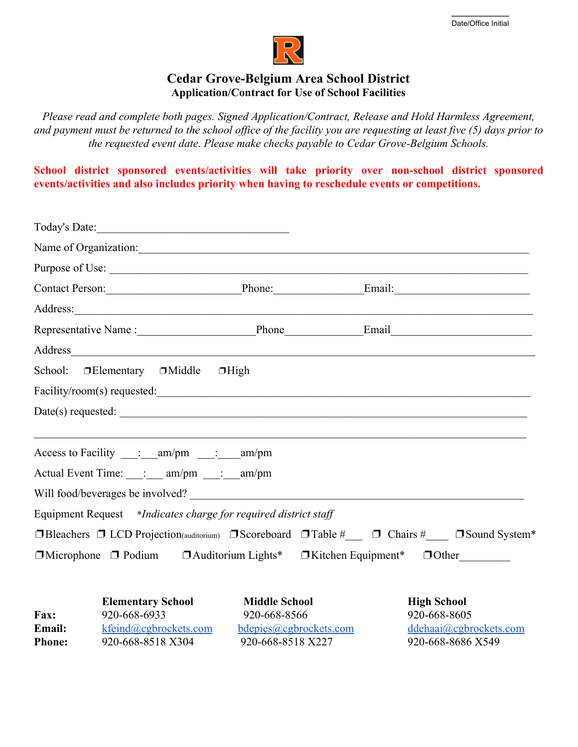

## **Cedar Grove-Belgium Area School District Application/Contract for Use of School Facilities**

*Please read and complete both pages. Signed Application/Contract, Release and Hold Harmless Agreement, and payment must be returned to the school office of the facility you are requesting at least five (5) days prior to the requested event date. Please make checks payable to Cedar Grove-Belgium Schools.*

**School district sponsored events/activities will take priority over non-school district sponsored events/activities and also includes priority when having to reschedule events or competitions.**

|               | Name of Organization:                                                                                                                                                                                                          |                        |                    |                        |
|---------------|--------------------------------------------------------------------------------------------------------------------------------------------------------------------------------------------------------------------------------|------------------------|--------------------|------------------------|
|               | Purpose of Use:                                                                                                                                                                                                                |                        |                    |                        |
|               | Contact Person: Phone: Email: Email:                                                                                                                                                                                           |                        |                    |                        |
|               |                                                                                                                                                                                                                                |                        |                    |                        |
|               |                                                                                                                                                                                                                                |                        |                    |                        |
|               | Address and the contract of the contract of the contract of the contract of the contract of the contract of the contract of the contract of the contract of the contract of the contract of the contract of the contract of th |                        |                    |                        |
|               | School: □ Elementary □ Middle □ High                                                                                                                                                                                           |                        |                    |                        |
|               |                                                                                                                                                                                                                                |                        |                    |                        |
|               |                                                                                                                                                                                                                                |                        |                    |                        |
|               | Access to Facility $\qquad \qquad$ : am/pm $\qquad \qquad$ : am/pm                                                                                                                                                             |                        |                    |                        |
|               | Actual Event Time: ___: ___ am/pm ___: __ am/pm                                                                                                                                                                                |                        |                    |                        |
|               |                                                                                                                                                                                                                                |                        |                    |                        |
|               | Equipment Request *Indicates charge for required district staff                                                                                                                                                                |                        |                    |                        |
|               | □Bleachers □ LCD Projection(auditorium) □ Scoreboard □ Table #___ □ Chairs #___ □ Sound System*                                                                                                                                |                        |                    |                        |
|               | □ Microphone □ Podium □ Auditorium Lights* □ Kitchen Equipment* □ Other                                                                                                                                                        |                        |                    |                        |
|               | <b>Elementary School</b>                                                                                                                                                                                                       | <b>Middle School</b>   | <b>High School</b> |                        |
| Fax:          | 920-668-6933                                                                                                                                                                                                                   | 920-668-8566           | 920-668-8605       |                        |
| <b>Email:</b> | kfeind@cgbrockets.com                                                                                                                                                                                                          | bdepies@cgbrockets.com |                    | ddehaai@cgbrockets.com |

**Phone:** 920-668-8518 X304 920-668-8518 X227 920-668-8686 X549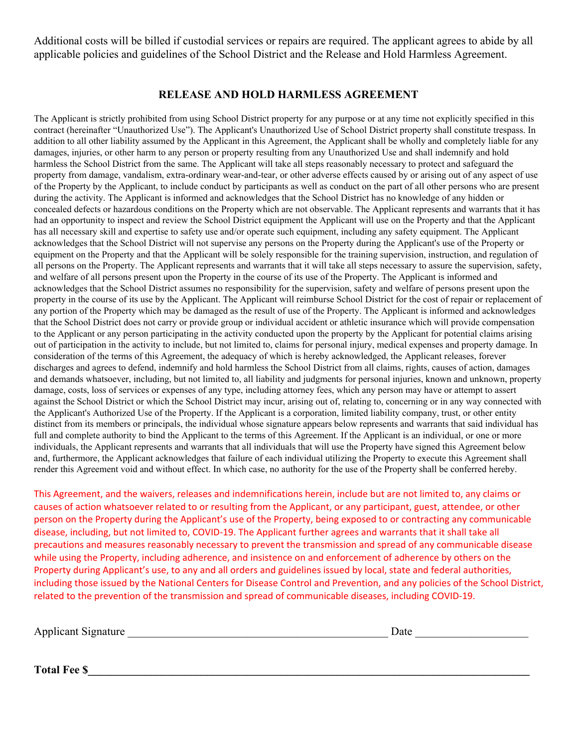Additional costs will be billed if custodial services or repairs are required. The applicant agrees to abide by all applicable policies and guidelines of the School District and the Release and Hold Harmless Agreement.

## **RELEASE AND HOLD HARMLESS AGREEMENT**

The Applicant is strictly prohibited from using School District property for any purpose or at any time not explicitly specified in this contract (hereinafter "Unauthorized Use"). The Applicant's Unauthorized Use of School District property shall constitute trespass. In addition to all other liability assumed by the Applicant in this Agreement, the Applicant shall be wholly and completely liable for any damages, injuries, or other harm to any person or property resulting from any Unauthorized Use and shall indemnify and hold harmless the School District from the same. The Applicant will take all steps reasonably necessary to protect and safeguard the property from damage, vandalism, extra-ordinary wear-and-tear, or other adverse effects caused by or arising out of any aspect of use of the Property by the Applicant, to include conduct by participants as well as conduct on the part of all other persons who are present during the activity. The Applicant is informed and acknowledges that the School District has no knowledge of any hidden or concealed defects or hazardous conditions on the Property which are not observable. The Applicant represents and warrants that it has had an opportunity to inspect and review the School District equipment the Applicant will use on the Property and that the Applicant has all necessary skill and expertise to safety use and/or operate such equipment, including any safety equipment. The Applicant acknowledges that the School District will not supervise any persons on the Property during the Applicant's use of the Property or equipment on the Property and that the Applicant will be solely responsible for the training supervision, instruction, and regulation of all persons on the Property. The Applicant represents and warrants that it will take all steps necessary to assure the supervision, safety, and welfare of all persons present upon the Property in the course of its use of the Property. The Applicant is informed and acknowledges that the School District assumes no responsibility for the supervision, safety and welfare of persons present upon the property in the course of its use by the Applicant. The Applicant will reimburse School District for the cost of repair or replacement of any portion of the Property which may be damaged as the result of use of the Property. The Applicant is informed and acknowledges that the School District does not carry or provide group or individual accident or athletic insurance which will provide compensation to the Applicant or any person participating in the activity conducted upon the property by the Applicant for potential claims arising out of participation in the activity to include, but not limited to, claims for personal injury, medical expenses and property damage. In consideration of the terms of this Agreement, the adequacy of which is hereby acknowledged, the Applicant releases, forever discharges and agrees to defend, indemnify and hold harmless the School District from all claims, rights, causes of action, damages and demands whatsoever, including, but not limited to, all liability and judgments for personal injuries, known and unknown, property damage, costs, loss of services or expenses of any type, including attorney fees, which any person may have or attempt to assert against the School District or which the School District may incur, arising out of, relating to, concerning or in any way connected with the Applicant's Authorized Use of the Property. If the Applicant is a corporation, limited liability company, trust, or other entity distinct from its members or principals, the individual whose signature appears below represents and warrants that said individual has full and complete authority to bind the Applicant to the terms of this Agreement. If the Applicant is an individual, or one or more individuals, the Applicant represents and warrants that all individuals that will use the Property have signed this Agreement below and, furthermore, the Applicant acknowledges that failure of each individual utilizing the Property to execute this Agreement shall render this Agreement void and without effect. In which case, no authority for the use of the Property shall be conferred hereby.

This Agreement, and the waivers, releases and indemnifications herein, include but are not limited to, any claims or causes of action whatsoever related to or resulting from the Applicant, or any participant, guest, attendee, or other person on the Property during the Applicant's use of the Property, being exposed to or contracting any communicable disease, including, but not limited to, COVID-19. The Applicant further agrees and warrants that it shall take all precautions and measures reasonably necessary to prevent the transmission and spread of any communicable disease while using the Property, including adherence, and insistence on and enforcement of adherence by others on the Property during Applicant's use, to any and all orders and guidelines issued by local, state and federal authorities, including those issued by the National Centers for Disease Control and Prevention, and any policies of the School District, related to the prevention of the transmission and spread of communicable diseases, including COVID-19.

Applicant Signature \_\_\_\_\_\_\_\_\_\_\_\_\_\_\_\_\_\_\_\_\_\_\_\_\_\_\_\_\_\_\_\_\_\_\_\_\_\_\_\_\_\_\_\_\_\_ Date \_\_\_\_\_\_\_\_\_\_\_\_\_\_\_\_\_\_\_\_

**Total Fee \$\_\_\_\_\_\_\_\_\_\_\_\_\_\_\_\_\_\_\_\_\_\_\_\_\_\_\_\_\_\_\_\_\_\_\_\_\_\_\_\_\_\_\_\_\_\_\_\_\_\_\_\_\_\_\_\_\_\_\_\_\_\_\_\_\_\_\_\_\_\_\_\_\_\_\_\_\_\_**